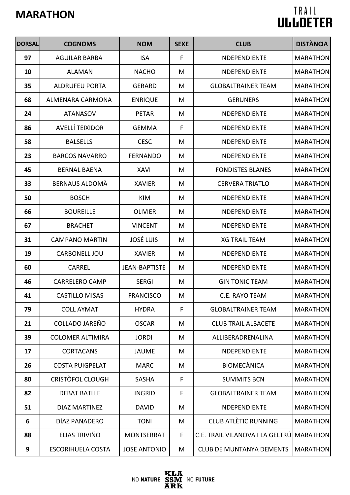| <b>DORSAL</b> | <b>COGNOMS</b>           | <b>NOM</b>           | <b>SEXE</b> | <b>CLUB</b>                     | <b>DISTÀNCIA</b> |
|---------------|--------------------------|----------------------|-------------|---------------------------------|------------------|
| 97            | <b>AGUILAR BARBA</b>     | <b>ISA</b>           | F           | <b>INDEPENDIENTE</b>            | <b>MARATHON</b>  |
| 10            | <b>ALAMAN</b>            | <b>NACHO</b>         | M           | <b>INDEPENDIENTE</b>            | <b>MARATHON</b>  |
| 35            | <b>ALDRUFEU PORTA</b>    | <b>GERARD</b>        | M           | <b>GLOBALTRAINER TEAM</b>       | <b>MARATHON</b>  |
| 68            | <b>ALMENARA CARMONA</b>  | <b>ENRIQUE</b>       | M           | <b>GERUNERS</b>                 | <b>MARATHON</b>  |
| 24            | <b>ATANASOV</b>          | <b>PETAR</b>         | M           | <b>INDEPENDIENTE</b>            | <b>MARATHON</b>  |
| 86            | <b>AVELLÍ TEIXIDOR</b>   | <b>GEMMA</b>         | F           | <b>INDEPENDIENTE</b>            | <b>MARATHON</b>  |
| 58            | <b>BALSELLS</b>          | <b>CESC</b>          | M           | <b>INDEPENDIENTE</b>            | <b>MARATHON</b>  |
| 23            | <b>BARCOS NAVARRO</b>    | <b>FERNANDO</b>      | M           | <b>INDEPENDIENTE</b>            | <b>MARATHON</b>  |
| 45            | <b>BERNAL BAENA</b>      | <b>XAVI</b>          | M           | <b>FONDISTES BLANES</b>         | <b>MARATHON</b>  |
| 33            | BERNAUS ALDOMÀ           | <b>XAVIER</b>        | M           | <b>CERVERA TRIATLO</b>          | <b>MARATHON</b>  |
| 50            | <b>BOSCH</b>             | <b>KIM</b>           | M           | <b>INDEPENDIENTE</b>            | <b>MARATHON</b>  |
| 66            | <b>BOUREILLE</b>         | <b>OLIVIER</b>       | M           | INDEPENDIENTE                   | <b>MARATHON</b>  |
| 67            | <b>BRACHET</b>           | <b>VINCENT</b>       | M           | <b>INDEPENDIENTE</b>            | <b>MARATHON</b>  |
| 31            | <b>CAMPANO MARTIN</b>    | <b>JOSÉ LUIS</b>     | M           | <b>XG TRAIL TEAM</b>            | <b>MARATHON</b>  |
| 19            | CARBONELL JOU            | <b>XAVIER</b>        | M           | <b>INDEPENDIENTE</b>            | <b>MARATHON</b>  |
| 60            | <b>CARREL</b>            | <b>JEAN-BAPTISTE</b> | M           | INDEPENDIENTE                   | <b>MARATHON</b>  |
| 46            | <b>CARRELERO CAMP</b>    | <b>SERGI</b>         | M           | <b>GIN TONIC TEAM</b>           | <b>MARATHON</b>  |
| 41            | <b>CASTILLO MISAS</b>    | <b>FRANCISCO</b>     | M           | C.E. RAYO TEAM                  | MARATHON         |
| 79            | <b>COLL AYMAT</b>        | <b>HYDRA</b>         | F           | <b>GLOBALTRAINER TEAM</b>       | <b>MARATHON</b>  |
| 21            | COLLADO JAREÑO           | <b>OSCAR</b>         | M           | <b>CLUB TRAIL ALBACETE</b>      | <b>MARATHON</b>  |
| 39            | <b>COLOMER ALTIMIRA</b>  | <b>JORDI</b>         | M           | ALLIBERADRENALINA               | <b>MARATHON</b>  |
| 17            | <b>CORTACANS</b>         | <b>JAUME</b>         | M           | <b>INDEPENDIENTE</b>            | <b>MARATHON</b>  |
| 26            | <b>COSTA PUIGPELAT</b>   | <b>MARC</b>          | M           | <b>BIOMECANICA</b>              | <b>MARATHON</b>  |
| 80            | CRISTÒFOL CLOUGH         | <b>SASHA</b>         | F           | <b>SUMMITS BCN</b>              | <b>MARATHON</b>  |
| 82            | <b>DEBAT BATLLE</b>      | <b>INGRID</b>        | F           | <b>GLOBALTRAINER TEAM</b>       | <b>MARATHON</b>  |
| 51            | DIAZ MARTINEZ            | <b>DAVID</b>         | M           | <b>INDEPENDIENTE</b>            | <b>MARATHON</b>  |
| 6             | DÍAZ PANADERO            | <b>TONI</b>          | M           | <b>CLUB ATLÈTIC RUNNING</b>     | <b>MARATHON</b>  |
| 88            | ELIAS TRIVIÑO            | <b>MONTSERRAT</b>    | F           | C.E. TRAIL VILANOVA I LA GELTRU | <b>MARATHON</b>  |
| 9             | <b>ESCORIHUELA COSTA</b> | <b>JOSE ANTONIO</b>  | M           | <b>CLUB DE MUNTANYA DEMENTS</b> | <b>MARATHON</b>  |

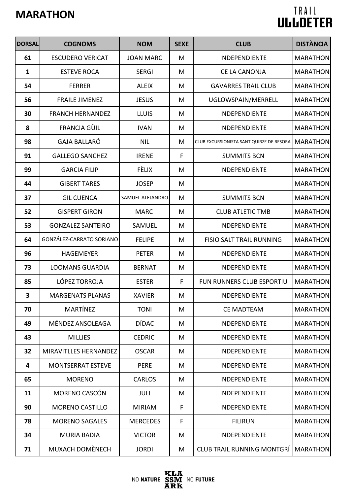| <b>DORSAL</b> | <b>COGNOMS</b>           | <b>NOM</b>       | <b>SEXE</b> | <b>CLUB</b>                              | <b>DISTÀNCIA</b> |
|---------------|--------------------------|------------------|-------------|------------------------------------------|------------------|
| 61            | <b>ESCUDERO VERICAT</b>  | <b>JOAN MARC</b> | M           | <b>INDEPENDIENTE</b>                     | <b>MARATHON</b>  |
| $\mathbf{1}$  | <b>ESTEVE ROCA</b>       | <b>SERGI</b>     | M           | <b>CE LA CANONJA</b>                     | <b>MARATHON</b>  |
| 54            | <b>FERRER</b>            | <b>ALEIX</b>     | M           | <b>GAVARRES TRAIL CLUB</b>               | <b>MARATHON</b>  |
| 56            | <b>FRAILE JIMENEZ</b>    | <b>JESUS</b>     | M           | UGLOWSPAIN/MERRELL                       | <b>MARATHON</b>  |
| 30            | <b>FRANCH HERNANDEZ</b>  | <b>LLUIS</b>     | M           | <b>INDEPENDIENTE</b>                     | <b>MARATHON</b>  |
| 8             | FRANCIA GÜIL             | <b>IVAN</b>      | M           | <b>INDEPENDIENTE</b>                     | <b>MARATHON</b>  |
| 98            | <b>GAJA BALLARÓ</b>      | <b>NIL</b>       | M           | CLUB EXCURSIONISTA SANT QUIRZE DE BESORA | <b>MARATHON</b>  |
| 91            | <b>GALLEGO SANCHEZ</b>   | <b>IRENE</b>     | F           | <b>SUMMITS BCN</b>                       | <b>MARATHON</b>  |
| 99            | <b>GARCIA FILIP</b>      | <b>FÈLIX</b>     | M           | INDEPENDIENTE                            | <b>MARATHON</b>  |
| 44            | <b>GIBERT TARES</b>      | <b>JOSEP</b>     | M           |                                          | <b>MARATHON</b>  |
| 37            | <b>GIL CUENCA</b>        | SAMUEL ALEJANDRO | M           | <b>SUMMITS BCN</b>                       | <b>MARATHON</b>  |
| 52            | <b>GISPERT GIRON</b>     | <b>MARC</b>      | M           | <b>CLUB ATLETIC TMB</b>                  | <b>MARATHON</b>  |
| 53            | <b>GONZALEZ SANTEIRO</b> | SAMUEL           | M           | INDEPENDIENTE                            | <b>MARATHON</b>  |
| 64            | GONZÁLEZ-CARRATO SORIANO | <b>FELIPE</b>    | M           | FISIO SALT TRAIL RUNNING                 | <b>MARATHON</b>  |
| 96            | <b>HAGEMEYER</b>         | <b>PETER</b>     | M           | INDEPENDIENTE                            | <b>MARATHON</b>  |
| 73            | <b>LOOMANS GUARDIA</b>   | <b>BERNAT</b>    | M           | <b>INDEPENDIENTE</b>                     | <b>MARATHON</b>  |
| 85            | LÓPEZ TORROJA            | <b>ESTER</b>     | F           | FUN RUNNERS CLUB ESPORTIU                | <b>MARATHON</b>  |
| 3             | <b>MARGENATS PLANAS</b>  | <b>XAVIER</b>    | M           | <b>INDEPENDIENTE</b>                     | MARATHON         |
| 70            | <b>MARTÍNEZ</b>          | <b>TONI</b>      | M           | <b>CE MADTEAM</b>                        | <b>MARATHON</b>  |
| 49            | MÉNDEZ ANSOLEAGA         | <b>DÍDAC</b>     | M           | <b>INDEPENDIENTE</b>                     | <b>MARATHON</b>  |
| 43            | <b>MILLIES</b>           | <b>CEDRIC</b>    | M           | <b>INDEPENDIENTE</b>                     | <b>MARATHON</b>  |
| 32            | MIRAVITLLES HERNANDEZ    | <b>OSCAR</b>     | M           | <b>INDEPENDIENTE</b>                     | <b>MARATHON</b>  |
| 4             | <b>MONTSERRAT ESTEVE</b> | <b>PERE</b>      | M           | <b>INDEPENDIENTE</b>                     | <b>MARATHON</b>  |
| 65            | <b>MORENO</b>            | <b>CARLOS</b>    | M           | <b>INDEPENDIENTE</b>                     | <b>MARATHON</b>  |
| 11            | <b>MORENO CASCÓN</b>     | JULI             | M           | <b>INDEPENDIENTE</b>                     | <b>MARATHON</b>  |
| 90            | <b>MORENO CASTILLO</b>   | <b>MIRIAM</b>    | F           | <b>INDEPENDIENTE</b>                     | <b>MARATHON</b>  |
| 78            | <b>MORENO SAGALES</b>    | <b>MERCEDES</b>  | F           | <b>FILIRUN</b>                           | <b>MARATHON</b>  |
| 34            | <b>MURIA BADIA</b>       | <b>VICTOR</b>    | M           | <b>INDEPENDIENTE</b>                     | <b>MARATHON</b>  |
| 71            | MUXACH DOMÈNECH          | <b>JORDI</b>     | M           | <b>CLUB TRAIL RUNNING MONTGRÍ</b>        | <b>MARATHON</b>  |

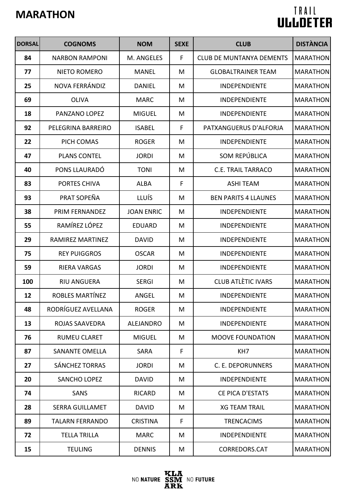| <b>DORSAL</b> | <b>COGNOMS</b>         | <b>NOM</b>        | <b>SEXE</b> | <b>CLUB</b>                     | <b>DISTÀNCIA</b> |
|---------------|------------------------|-------------------|-------------|---------------------------------|------------------|
| 84            | <b>NARBON RAMPONI</b>  | M. ANGELES        | F           | <b>CLUB DE MUNTANYA DEMENTS</b> | <b>MARATHON</b>  |
| 77            | NIETO ROMERO           | <b>MANEL</b>      | M           | <b>GLOBALTRAINER TEAM</b>       | <b>MARATHON</b>  |
| 25            | NOVA FERRÁNDIZ         | <b>DANIEL</b>     | M           | <b>INDEPENDIENTE</b>            | <b>MARATHON</b>  |
| 69            | <b>OLIVA</b>           | <b>MARC</b>       | M           | <b>INDEPENDIENTE</b>            | <b>MARATHON</b>  |
| 18            | PANZANO LOPEZ          | <b>MIGUEL</b>     | M           | <b>INDEPENDIENTE</b>            | <b>MARATHON</b>  |
| 92            | PELEGRINA BARREIRO     | <b>ISABEL</b>     | F           | PATXANGUERUS D'ALFORJA          | <b>MARATHON</b>  |
| 22            | PICH COMAS             | <b>ROGER</b>      | M           | INDEPENDIENTE                   | <b>MARATHON</b>  |
| 47            | <b>PLANS CONTEL</b>    | <b>JORDI</b>      | M           | SOM REPÚBLICA                   | <b>MARATHON</b>  |
| 40            | PONS LLAURADÓ          | <b>TONI</b>       | M           | <b>C.E. TRAIL TARRACO</b>       | <b>MARATHON</b>  |
| 83            | PORTES CHIVA           | <b>ALBA</b>       | F           | <b>ASHI TEAM</b>                | <b>MARATHON</b>  |
| 93            | PRAT SOPEÑA            | <b>LLUÍS</b>      | M           | <b>BEN PARITS 4 LLAUNES</b>     | <b>MARATHON</b>  |
| 38            | PRIM FERNANDEZ         | <b>JOAN ENRIC</b> | M           | <b>INDEPENDIENTE</b>            | <b>MARATHON</b>  |
| 55            | RAMÍREZ LÓPEZ          | <b>EDUARD</b>     | M           | <b>INDEPENDIENTE</b>            | <b>MARATHON</b>  |
| 29            | RAMIREZ MARTINEZ       | <b>DAVID</b>      | M           | <b>INDEPENDIENTE</b>            | <b>MARATHON</b>  |
| 75            | <b>REY PUIGGROS</b>    | <b>OSCAR</b>      | M           | <b>INDEPENDIENTE</b>            | <b>MARATHON</b>  |
| 59            | <b>RIERA VARGAS</b>    | <b>JORDI</b>      | M           | <b>INDEPENDIENTE</b>            | <b>MARATHON</b>  |
| 100           | <b>RIU ANGUERA</b>     | <b>SERGI</b>      | M           | <b>CLUB ATLÈTIC IVARS</b>       | <b>MARATHON</b>  |
| 12            | ROBLES MARTÍNEZ        | ANGEL             | M           | <b>INDEPENDIENTE</b>            | MARATHON         |
| 48            | RODRÍGUEZ AVELLANA     | <b>ROGER</b>      | M           | <b>INDEPENDIENTE</b>            | <b>MARATHON</b>  |
| 13            | ROJAS SAAVEDRA         | <b>ALEJANDRO</b>  | M           | <b>INDEPENDIENTE</b>            | <b>MARATHON</b>  |
| 76            | <b>RUMEU CLARET</b>    | <b>MIGUEL</b>     | M           | <b>MOOVE FOUNDATION</b>         | <b>MARATHON</b>  |
| 87            | <b>SANANTE OMELLA</b>  | <b>SARA</b>       | F           | KH <sub>7</sub>                 | <b>MARATHON</b>  |
| 27            | <b>SÁNCHEZ TORRAS</b>  | <b>JORDI</b>      | M           | C. E. DEPORUNNERS               | <b>MARATHON</b>  |
| 20            | <b>SANCHO LOPEZ</b>    | <b>DAVID</b>      | M           | <b>INDEPENDIENTE</b>            | <b>MARATHON</b>  |
| 74            | <b>SANS</b>            | <b>RICARD</b>     | M           | <b>CE PICA D'ESTATS</b>         | <b>MARATHON</b>  |
| 28            | <b>SERRA GUILLAMET</b> | <b>DAVID</b>      | M           | <b>XG TEAM TRAIL</b>            | <b>MARATHON</b>  |
| 89            | <b>TALARN FERRANDO</b> | <b>CRISTINA</b>   | F           | <b>TRENCACIMS</b>               | <b>MARATHON</b>  |
| 72            | <b>TELLA TRILLA</b>    | <b>MARC</b>       | M           | <b>INDEPENDIENTE</b>            | MARATHON         |
| 15            | <b>TEULING</b>         | <b>DENNIS</b>     | M           | CORREDORS.CAT                   | <b>MARATHON</b>  |